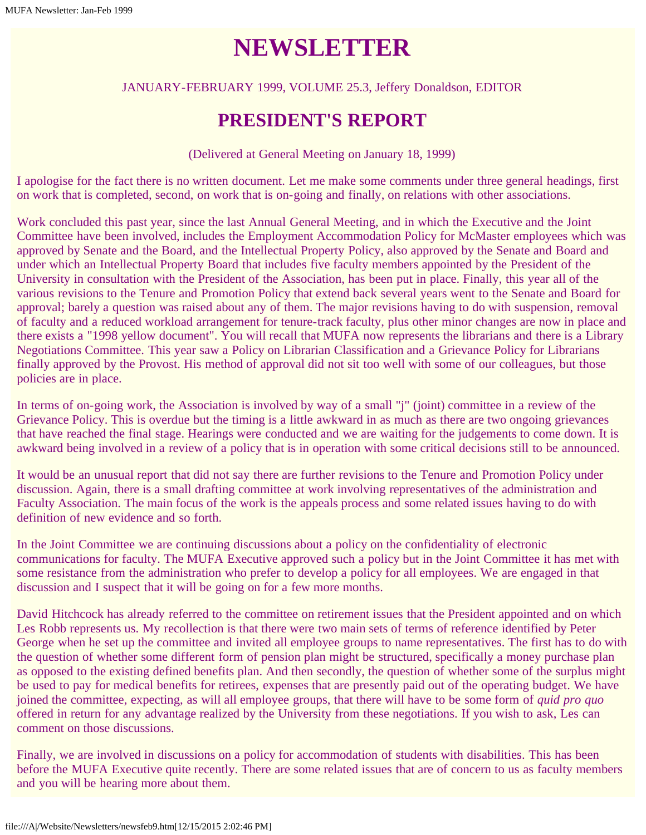# **NEWSLETTER**

#### JANUARY-FEBRUARY 1999, VOLUME 25.3, Jeffery Donaldson, EDITOR

#### **PRESIDENT'S REPORT**

(Delivered at General Meeting on January 18, 1999)

I apologise for the fact there is no written document. Let me make some comments under three general headings, first on work that is completed, second, on work that is on-going and finally, on relations with other associations.

Work concluded this past year, since the last Annual General Meeting, and in which the Executive and the Joint Committee have been involved, includes the Employment Accommodation Policy for McMaster employees which was approved by Senate and the Board, and the Intellectual Property Policy, also approved by the Senate and Board and under which an Intellectual Property Board that includes five faculty members appointed by the President of the University in consultation with the President of the Association, has been put in place. Finally, this year all of the various revisions to the Tenure and Promotion Policy that extend back several years went to the Senate and Board for approval; barely a question was raised about any of them. The major revisions having to do with suspension, removal of faculty and a reduced workload arrangement for tenure-track faculty, plus other minor changes are now in place and there exists a "1998 yellow document". You will recall that MUFA now represents the librarians and there is a Library Negotiations Committee. This year saw a Policy on Librarian Classification and a Grievance Policy for Librarians finally approved by the Provost. His method of approval did not sit too well with some of our colleagues, but those policies are in place.

In terms of on-going work, the Association is involved by way of a small "j" (joint) committee in a review of the Grievance Policy. This is overdue but the timing is a little awkward in as much as there are two ongoing grievances that have reached the final stage. Hearings were conducted and we are waiting for the judgements to come down. It is awkward being involved in a review of a policy that is in operation with some critical decisions still to be announced.

It would be an unusual report that did not say there are further revisions to the Tenure and Promotion Policy under discussion. Again, there is a small drafting committee at work involving representatives of the administration and Faculty Association. The main focus of the work is the appeals process and some related issues having to do with definition of new evidence and so forth.

In the Joint Committee we are continuing discussions about a policy on the confidentiality of electronic communications for faculty. The MUFA Executive approved such a policy but in the Joint Committee it has met with some resistance from the administration who prefer to develop a policy for all employees. We are engaged in that discussion and I suspect that it will be going on for a few more months.

David Hitchcock has already referred to the committee on retirement issues that the President appointed and on which Les Robb represents us. My recollection is that there were two main sets of terms of reference identified by Peter George when he set up the committee and invited all employee groups to name representatives. The first has to do with the question of whether some different form of pension plan might be structured, specifically a money purchase plan as opposed to the existing defined benefits plan. And then secondly, the question of whether some of the surplus might be used to pay for medical benefits for retirees, expenses that are presently paid out of the operating budget. We have joined the committee, expecting, as will all employee groups, that there will have to be some form of *quid pro quo* offered in return for any advantage realized by the University from these negotiations. If you wish to ask, Les can comment on those discussions.

Finally, we are involved in discussions on a policy for accommodation of students with disabilities. This has been before the MUFA Executive quite recently. There are some related issues that are of concern to us as faculty members and you will be hearing more about them.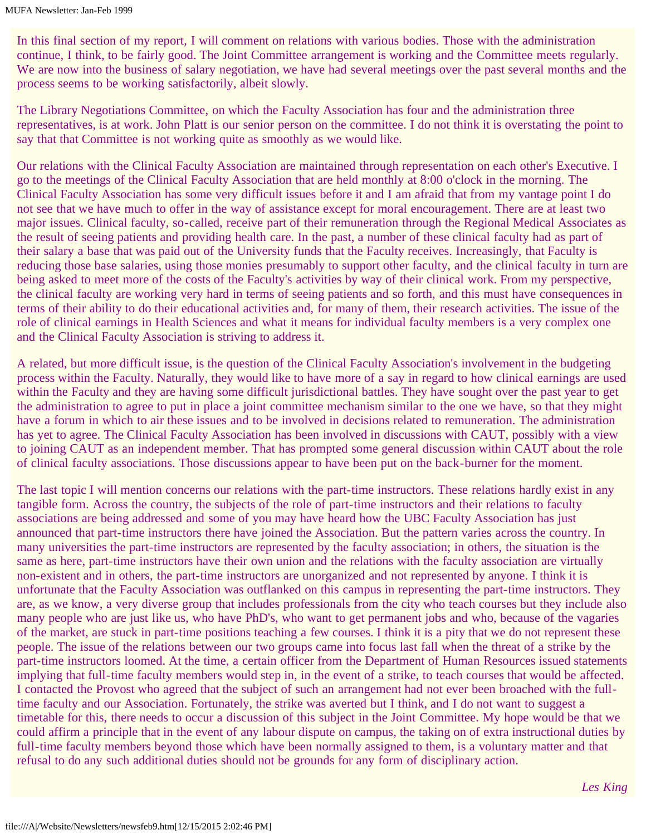In this final section of my report, I will comment on relations with various bodies. Those with the administration continue, I think, to be fairly good. The Joint Committee arrangement is working and the Committee meets regularly. We are now into the business of salary negotiation, we have had several meetings over the past several months and the process seems to be working satisfactorily, albeit slowly.

The Library Negotiations Committee, on which the Faculty Association has four and the administration three representatives, is at work. John Platt is our senior person on the committee. I do not think it is overstating the point to say that that Committee is not working quite as smoothly as we would like.

Our relations with the Clinical Faculty Association are maintained through representation on each other's Executive. I go to the meetings of the Clinical Faculty Association that are held monthly at 8:00 o'clock in the morning. The Clinical Faculty Association has some very difficult issues before it and I am afraid that from my vantage point I do not see that we have much to offer in the way of assistance except for moral encouragement. There are at least two major issues. Clinical faculty, so-called, receive part of their remuneration through the Regional Medical Associates as the result of seeing patients and providing health care. In the past, a number of these clinical faculty had as part of their salary a base that was paid out of the University funds that the Faculty receives. Increasingly, that Faculty is reducing those base salaries, using those monies presumably to support other faculty, and the clinical faculty in turn are being asked to meet more of the costs of the Faculty's activities by way of their clinical work. From my perspective, the clinical faculty are working very hard in terms of seeing patients and so forth, and this must have consequences in terms of their ability to do their educational activities and, for many of them, their research activities. The issue of the role of clinical earnings in Health Sciences and what it means for individual faculty members is a very complex one and the Clinical Faculty Association is striving to address it.

A related, but more difficult issue, is the question of the Clinical Faculty Association's involvement in the budgeting process within the Faculty. Naturally, they would like to have more of a say in regard to how clinical earnings are used within the Faculty and they are having some difficult jurisdictional battles. They have sought over the past year to get the administration to agree to put in place a joint committee mechanism similar to the one we have, so that they might have a forum in which to air these issues and to be involved in decisions related to remuneration. The administration has yet to agree. The Clinical Faculty Association has been involved in discussions with CAUT, possibly with a view to joining CAUT as an independent member. That has prompted some general discussion within CAUT about the role of clinical faculty associations. Those discussions appear to have been put on the back-burner for the moment.

The last topic I will mention concerns our relations with the part-time instructors. These relations hardly exist in any tangible form. Across the country, the subjects of the role of part-time instructors and their relations to faculty associations are being addressed and some of you may have heard how the UBC Faculty Association has just announced that part-time instructors there have joined the Association. But the pattern varies across the country. In many universities the part-time instructors are represented by the faculty association; in others, the situation is the same as here, part-time instructors have their own union and the relations with the faculty association are virtually non-existent and in others, the part-time instructors are unorganized and not represented by anyone. I think it is unfortunate that the Faculty Association was outflanked on this campus in representing the part-time instructors. They are, as we know, a very diverse group that includes professionals from the city who teach courses but they include also many people who are just like us, who have PhD's, who want to get permanent jobs and who, because of the vagaries of the market, are stuck in part-time positions teaching a few courses. I think it is a pity that we do not represent these people. The issue of the relations between our two groups came into focus last fall when the threat of a strike by the part-time instructors loomed. At the time, a certain officer from the Department of Human Resources issued statements implying that full-time faculty members would step in, in the event of a strike, to teach courses that would be affected. I contacted the Provost who agreed that the subject of such an arrangement had not ever been broached with the fulltime faculty and our Association. Fortunately, the strike was averted but I think, and I do not want to suggest a timetable for this, there needs to occur a discussion of this subject in the Joint Committee. My hope would be that we could affirm a principle that in the event of any labour dispute on campus, the taking on of extra instructional duties by full-time faculty members beyond those which have been normally assigned to them, is a voluntary matter and that refusal to do any such additional duties should not be grounds for any form of disciplinary action.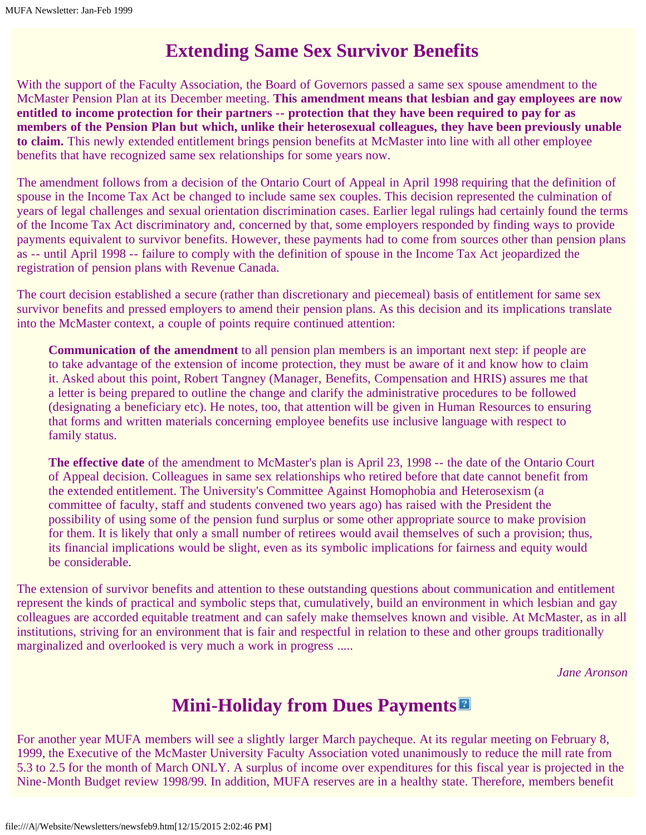## **Extending Same Sex Survivor Benefits**

With the support of the Faculty Association, the Board of Governors passed a same sex spouse amendment to the McMaster Pension Plan at its December meeting. **This amendment means that lesbian and gay employees are now entitled to income protection for their partners -- protection that they have been required to pay for as members of the Pension Plan but which, unlike their heterosexual colleagues, they have been previously unable to claim.** This newly extended entitlement brings pension benefits at McMaster into line with all other employee benefits that have recognized same sex relationships for some years now.

The amendment follows from a decision of the Ontario Court of Appeal in April 1998 requiring that the definition of spouse in the Income Tax Act be changed to include same sex couples. This decision represented the culmination of years of legal challenges and sexual orientation discrimination cases. Earlier legal rulings had certainly found the terms of the Income Tax Act discriminatory and, concerned by that, some employers responded by finding ways to provide payments equivalent to survivor benefits. However, these payments had to come from sources other than pension plans as -- until April 1998 -- failure to comply with the definition of spouse in the Income Tax Act jeopardized the registration of pension plans with Revenue Canada.

The court decision established a secure (rather than discretionary and piecemeal) basis of entitlement for same sex survivor benefits and pressed employers to amend their pension plans. As this decision and its implications translate into the McMaster context, a couple of points require continued attention:

**Communication of the amendment** to all pension plan members is an important next step: if people are to take advantage of the extension of income protection, they must be aware of it and know how to claim it. Asked about this point, Robert Tangney (Manager, Benefits, Compensation and HRIS) assures me that a letter is being prepared to outline the change and clarify the administrative procedures to be followed (designating a beneficiary etc). He notes, too, that attention will be given in Human Resources to ensuring that forms and written materials concerning employee benefits use inclusive language with respect to family status.

**The effective date** of the amendment to McMaster's plan is April 23, 1998 -- the date of the Ontario Court of Appeal decision. Colleagues in same sex relationships who retired before that date cannot benefit from the extended entitlement. The University's Committee Against Homophobia and Heterosexism (a committee of faculty, staff and students convened two years ago) has raised with the President the possibility of using some of the pension fund surplus or some other appropriate source to make provision for them. It is likely that only a small number of retirees would avail themselves of such a provision; thus, its financial implications would be slight, even as its symbolic implications for fairness and equity would be considerable.

The extension of survivor benefits and attention to these outstanding questions about communication and entitlement represent the kinds of practical and symbolic steps that, cumulatively, build an environment in which lesbian and gay colleagues are accorded equitable treatment and can safely make themselves known and visible. At McMaster, as in all institutions, striving for an environment that is fair and respectful in relation to these and other groups traditionally marginalized and overlooked is very much a work in progress .....

*Jane Aronson*

# **Mini-Holiday from Dues Payments**

For another year MUFA members will see a slightly larger March paycheque. At its regular meeting on February 8, 1999, the Executive of the McMaster University Faculty Association voted unanimously to reduce the mill rate from 5.3 to 2.5 for the month of March ONLY. A surplus of income over expenditures for this fiscal year is projected in the Nine-Month Budget review 1998/99. In addition, MUFA reserves are in a healthy state. Therefore, members benefit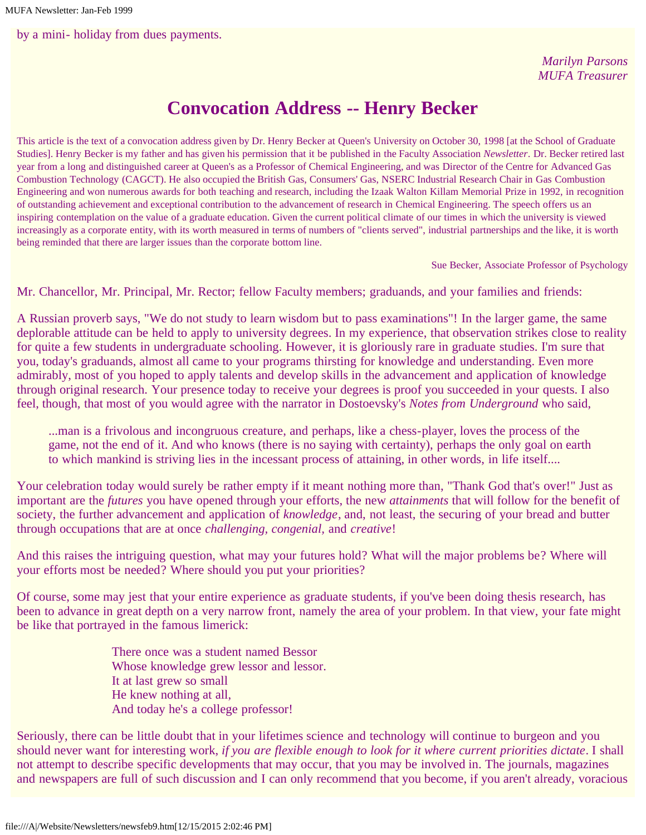by a mini- holiday from dues payments.

*Marilyn Parsons MUFA Treasurer*

## **Convocation Address -- Henry Becker**

This article is the text of a convocation address given by Dr. Henry Becker at Queen's University on October 30, 1998 [at the School of Graduate Studies]. Henry Becker is my father and has given his permission that it be published in the Faculty Association *Newsletter*. Dr. Becker retired last year from a long and distinguished career at Queen's as a Professor of Chemical Engineering, and was Director of the Centre for Advanced Gas Combustion Technology (CAGCT). He also occupied the British Gas, Consumers' Gas, NSERC Industrial Research Chair in Gas Combustion Engineering and won numerous awards for both teaching and research, including the Izaak Walton Killam Memorial Prize in 1992, in recognition of outstanding achievement and exceptional contribution to the advancement of research in Chemical Engineering. The speech offers us an inspiring contemplation on the value of a graduate education. Given the current political climate of our times in which the university is viewed increasingly as a corporate entity, with its worth measured in terms of numbers of "clients served", industrial partnerships and the like, it is worth being reminded that there are larger issues than the corporate bottom line.

Sue Becker, Associate Professor of Psychology

Mr. Chancellor, Mr. Principal, Mr. Rector; fellow Faculty members; graduands, and your families and friends:

A Russian proverb says, "We do not study to learn wisdom but to pass examinations"! In the larger game, the same deplorable attitude can be held to apply to university degrees. In my experience, that observation strikes close to reality for quite a few students in undergraduate schooling. However, it is gloriously rare in graduate studies. I'm sure that you, today's graduands, almost all came to your programs thirsting for knowledge and understanding. Even more admirably, most of you hoped to apply talents and develop skills in the advancement and application of knowledge through original research. Your presence today to receive your degrees is proof you succeeded in your quests. I also feel, though, that most of you would agree with the narrator in Dostoevsky's *Notes from Underground* who said,

...man is a frivolous and incongruous creature, and perhaps, like a chess-player, loves the process of the game, not the end of it. And who knows (there is no saying with certainty), perhaps the only goal on earth to which mankind is striving lies in the incessant process of attaining, in other words, in life itself....

Your celebration today would surely be rather empty if it meant nothing more than, "Thank God that's over!" Just as important are the *futures* you have opened through your efforts, the new *attainments* that will follow for the benefit of society, the further advancement and application of *knowledge*, and, not least, the securing of your bread and butter through occupations that are at once *challenging, congenial,* and *creative*!

And this raises the intriguing question, what may your futures hold? What will the major problems be? Where will your efforts most be needed? Where should you put your priorities?

Of course, some may jest that your entire experience as graduate students, if you've been doing thesis research, has been to advance in great depth on a very narrow front, namely the area of your problem. In that view, your fate might be like that portrayed in the famous limerick:

> There once was a student named Bessor Whose knowledge grew lessor and lessor. It at last grew so small He knew nothing at all, And today he's a college professor!

Seriously, there can be little doubt that in your lifetimes science and technology will continue to burgeon and you should never want for interesting work, *if you are flexible enough to look for it where current priorities dictate*. I shall not attempt to describe specific developments that may occur, that you may be involved in. The journals, magazines and newspapers are full of such discussion and I can only recommend that you become, if you aren't already, voracious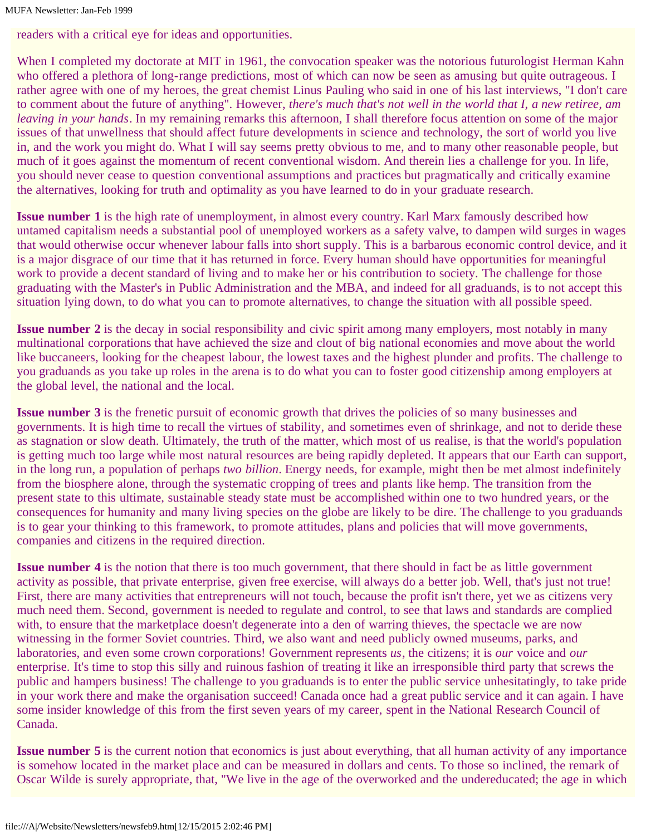readers with a critical eye for ideas and opportunities.

When I completed my doctorate at MIT in 1961, the convocation speaker was the notorious futurologist Herman Kahn who offered a plethora of long-range predictions, most of which can now be seen as amusing but quite outrageous. I rather agree with one of my heroes, the great chemist Linus Pauling who said in one of his last interviews, "I don't care to comment about the future of anything". However, *there's much that's not well in the world that I, a new retiree, am leaving in your hands*. In my remaining remarks this afternoon, I shall therefore focus attention on some of the major issues of that unwellness that should affect future developments in science and technology, the sort of world you live in, and the work you might do. What I will say seems pretty obvious to me, and to many other reasonable people, but much of it goes against the momentum of recent conventional wisdom. And therein lies a challenge for you. In life, you should never cease to question conventional assumptions and practices but pragmatically and critically examine the alternatives, looking for truth and optimality as you have learned to do in your graduate research.

**Issue number 1** is the high rate of unemployment, in almost every country. Karl Marx famously described how untamed capitalism needs a substantial pool of unemployed workers as a safety valve, to dampen wild surges in wages that would otherwise occur whenever labour falls into short supply. This is a barbarous economic control device, and it is a major disgrace of our time that it has returned in force. Every human should have opportunities for meaningful work to provide a decent standard of living and to make her or his contribution to society. The challenge for those graduating with the Master's in Public Administration and the MBA, and indeed for all graduands, is to not accept this situation lying down, to do what you can to promote alternatives, to change the situation with all possible speed.

**Issue number 2** is the decay in social responsibility and civic spirit among many employers, most notably in many multinational corporations that have achieved the size and clout of big national economies and move about the world like buccaneers, looking for the cheapest labour, the lowest taxes and the highest plunder and profits. The challenge to you graduands as you take up roles in the arena is to do what you can to foster good citizenship among employers at the global level, the national and the local.

**Issue number 3** is the frenetic pursuit of economic growth that drives the policies of so many businesses and governments. It is high time to recall the virtues of stability, and sometimes even of shrinkage, and not to deride these as stagnation or slow death. Ultimately, the truth of the matter, which most of us realise, is that the world's population is getting much too large while most natural resources are being rapidly depleted. It appears that our Earth can support, in the long run, a population of perhaps *two billion*. Energy needs, for example, might then be met almost indefinitely from the biosphere alone, through the systematic cropping of trees and plants like hemp. The transition from the present state to this ultimate, sustainable steady state must be accomplished within one to two hundred years, or the consequences for humanity and many living species on the globe are likely to be dire. The challenge to you graduands is to gear your thinking to this framework, to promote attitudes, plans and policies that will move governments, companies and citizens in the required direction.

**Issue number 4** is the notion that there is too much government, that there should in fact be as little government activity as possible, that private enterprise, given free exercise, will always do a better job. Well, that's just not true! First, there are many activities that entrepreneurs will not touch, because the profit isn't there, yet we as citizens very much need them. Second, government is needed to regulate and control, to see that laws and standards are complied with, to ensure that the marketplace doesn't degenerate into a den of warring thieves, the spectacle we are now witnessing in the former Soviet countries. Third, we also want and need publicly owned museums, parks, and laboratories, and even some crown corporations! Government represents *us*, the citizens; it is *our* voice and *our* enterprise. It's time to stop this silly and ruinous fashion of treating it like an irresponsible third party that screws the public and hampers business! The challenge to you graduands is to enter the public service unhesitatingly, to take pride in your work there and make the organisation succeed! Canada once had a great public service and it can again. I have some insider knowledge of this from the first seven years of my career, spent in the National Research Council of Canada.

**Issue number 5** is the current notion that economics is just about everything, that all human activity of any importance is somehow located in the market place and can be measured in dollars and cents. To those so inclined, the remark of Oscar Wilde is surely appropriate, that, "We live in the age of the overworked and the undereducated; the age in which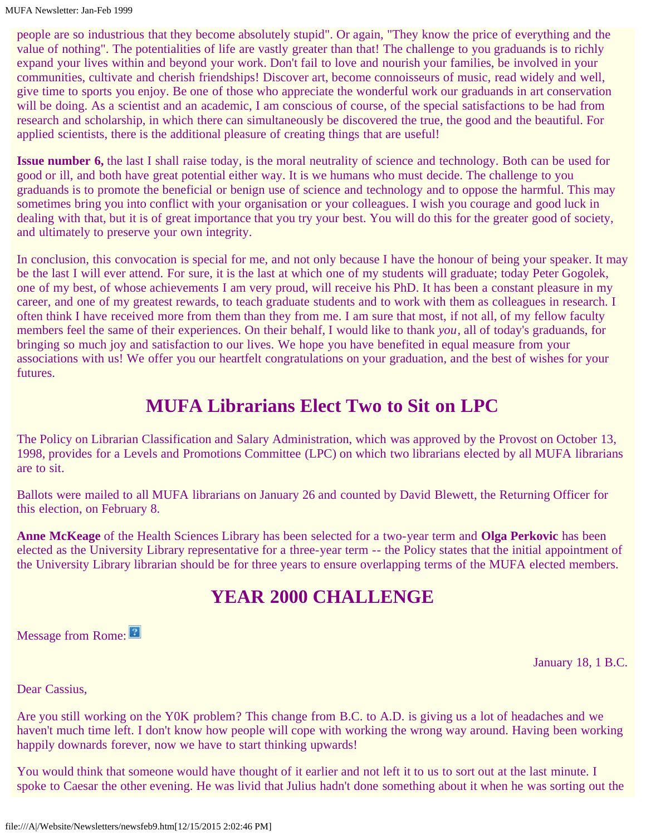people are so industrious that they become absolutely stupid". Or again, "They know the price of everything and the value of nothing". The potentialities of life are vastly greater than that! The challenge to you graduands is to richly expand your lives within and beyond your work. Don't fail to love and nourish your families, be involved in your communities, cultivate and cherish friendships! Discover art, become connoisseurs of music, read widely and well, give time to sports you enjoy. Be one of those who appreciate the wonderful work our graduands in art conservation will be doing. As a scientist and an academic, I am conscious of course, of the special satisfactions to be had from research and scholarship, in which there can simultaneously be discovered the true, the good and the beautiful. For applied scientists, there is the additional pleasure of creating things that are useful!

**Issue number 6,** the last I shall raise today, is the moral neutrality of science and technology. Both can be used for good or ill, and both have great potential either way. It is we humans who must decide. The challenge to you graduands is to promote the beneficial or benign use of science and technology and to oppose the harmful. This may sometimes bring you into conflict with your organisation or your colleagues. I wish you courage and good luck in dealing with that, but it is of great importance that you try your best. You will do this for the greater good of society, and ultimately to preserve your own integrity.

In conclusion, this convocation is special for me, and not only because I have the honour of being your speaker. It may be the last I will ever attend. For sure, it is the last at which one of my students will graduate; today Peter Gogolek, one of my best, of whose achievements I am very proud, will receive his PhD. It has been a constant pleasure in my career, and one of my greatest rewards, to teach graduate students and to work with them as colleagues in research. I often think I have received more from them than they from me. I am sure that most, if not all, of my fellow faculty members feel the same of their experiences. On their behalf, I would like to thank *you*, all of today's graduands, for bringing so much joy and satisfaction to our lives. We hope you have benefited in equal measure from your associations with us! We offer you our heartfelt congratulations on your graduation, and the best of wishes for your futures.

#### **MUFA Librarians Elect Two to Sit on LPC**

The Policy on Librarian Classification and Salary Administration, which was approved by the Provost on October 13, 1998, provides for a Levels and Promotions Committee (LPC) on which two librarians elected by all MUFA librarians are to sit.

Ballots were mailed to all MUFA librarians on January 26 and counted by David Blewett, the Returning Officer for this election, on February 8.

**Anne McKeage** of the Health Sciences Library has been selected for a two-year term and **Olga Perkovic** has been elected as the University Library representative for a three-year term -- the Policy states that the initial appointment of the University Library librarian should be for three years to ensure overlapping terms of the MUFA elected members.

# **YEAR 2000 CHALLENGE**

Message from Rome:

January 18, 1 B.C.

Dear Cassius,

Are you still working on the Y0K problem? This change from B.C. to A.D. is giving us a lot of headaches and we haven't much time left. I don't know how people will cope with working the wrong way around. Having been working happily downards forever, now we have to start thinking upwards!

You would think that someone would have thought of it earlier and not left it to us to sort out at the last minute. I spoke to Caesar the other evening. He was livid that Julius hadn't done something about it when he was sorting out the